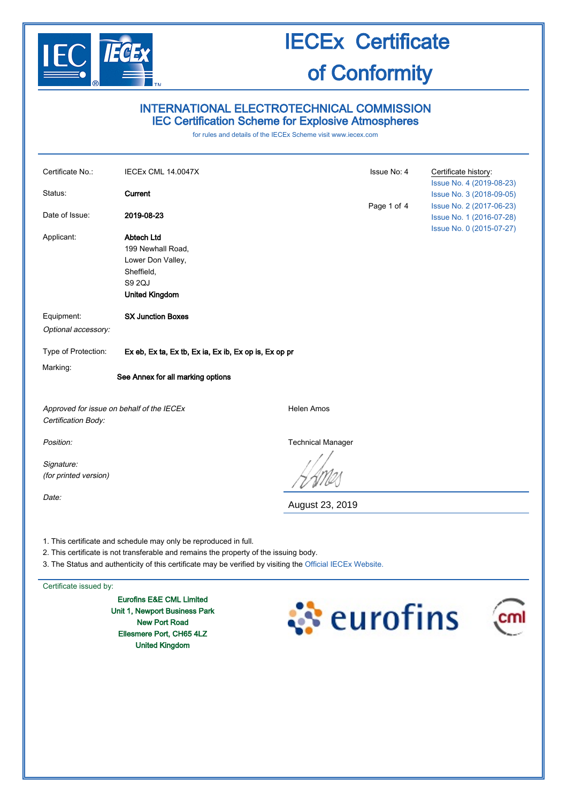

# INTERNATIONAL ELECTROTECHNICAL COMMISSION IEC Certification Scheme for Explosive Atmospheres

for rules and details of the IECEx Scheme visit [www.iecex.com](http://www.iecex.com/)

| Certificate No.:                          | <b>IECEX CML 14.0047X</b>                                        |                          | Issue No: 4 | Certificate history:<br>Issue No. 4 (2019-08-23) |  |
|-------------------------------------------|------------------------------------------------------------------|--------------------------|-------------|--------------------------------------------------|--|
| Status:                                   | Current                                                          |                          |             | Issue No. 3 (2018-09-05)                         |  |
|                                           |                                                                  |                          | Page 1 of 4 | Issue No. 2 (2017-06-23)                         |  |
| Date of Issue:                            | 2019-08-23                                                       |                          |             | Issue No. 1 (2016-07-28)                         |  |
|                                           |                                                                  |                          |             | Issue No. 0 (2015-07-27)                         |  |
| Applicant:                                | <b>Abtech Ltd</b>                                                |                          |             |                                                  |  |
|                                           | 199 Newhall Road,                                                |                          |             |                                                  |  |
|                                           | Lower Don Valley,<br>Sheffield,                                  |                          |             |                                                  |  |
|                                           | S9 2QJ                                                           |                          |             |                                                  |  |
|                                           | <b>United Kingdom</b>                                            |                          |             |                                                  |  |
|                                           |                                                                  |                          |             |                                                  |  |
| Equipment:                                | <b>SX Junction Boxes</b>                                         |                          |             |                                                  |  |
| Optional accessory:                       |                                                                  |                          |             |                                                  |  |
|                                           |                                                                  |                          |             |                                                  |  |
| Type of Protection:                       | Ex eb, Ex ta, Ex tb, Ex ia, Ex ib, Ex op is, Ex op pr            |                          |             |                                                  |  |
| Marking:                                  |                                                                  |                          |             |                                                  |  |
|                                           | See Annex for all marking options                                |                          |             |                                                  |  |
|                                           |                                                                  |                          |             |                                                  |  |
| Approved for issue on behalf of the IECEx |                                                                  | <b>Helen Amos</b>        |             |                                                  |  |
| Certification Body:                       |                                                                  |                          |             |                                                  |  |
|                                           |                                                                  |                          |             |                                                  |  |
| Position:                                 |                                                                  | <b>Technical Manager</b> |             |                                                  |  |
|                                           |                                                                  |                          |             |                                                  |  |
| Signature:                                |                                                                  |                          |             |                                                  |  |
| (for printed version)                     |                                                                  |                          |             |                                                  |  |
| Date:                                     |                                                                  |                          |             |                                                  |  |
|                                           |                                                                  | August 23, 2019          |             |                                                  |  |
|                                           |                                                                  |                          |             |                                                  |  |
|                                           | 1. This cortificate and schoolule may enly he reproduced in full |                          |             |                                                  |  |

1. This certificate and schedule may only be reproduced in full.

- 2. This certificate is not transferable and remains the property of the issuing body.
- 3. The Status and authenticity of this certificate may be verified by visiting the [Official IECEx Website.](http://iecex.iec.ch/)

Certificate issued by:

Eurofins E&E CML Limited Unit 1, Newport Business Park New Port Road Ellesmere Port, CH65 4LZ United Kingdom



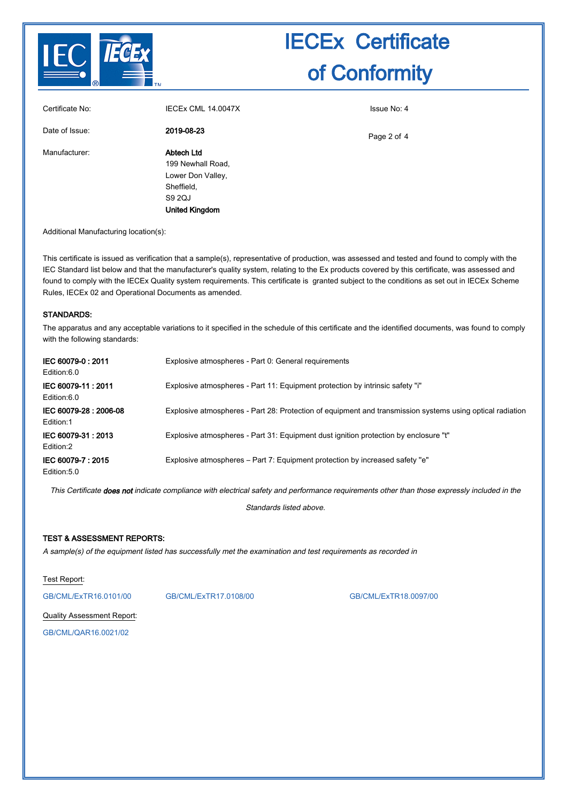

| Certificate No: | IECEX CML 14.0047X                                                                                           | Issue No: 4 |
|-----------------|--------------------------------------------------------------------------------------------------------------|-------------|
| Date of Issue:  | 2019-08-23                                                                                                   | Page 2 of 4 |
| Manufacturer:   | <b>Abtech Ltd</b><br>199 Newhall Road,<br>Lower Don Valley,<br>Sheffield,<br>S9 2QJ<br><b>United Kingdom</b> |             |

Additional Manufacturing location(s):

This certificate is issued as verification that a sample(s), representative of production, was assessed and tested and found to comply with the IEC Standard list below and that the manufacturer's quality system, relating to the Ex products covered by this certificate, was assessed and found to comply with the IECEx Quality system requirements. This certificate is granted subject to the conditions as set out in IECEx Scheme Rules, IECEx 02 and Operational Documents as amended.

#### STANDARDS:

The apparatus and any acceptable variations to it specified in the schedule of this certificate and the identified documents, was found to comply with the following standards:

| IEC 60079-0:2011<br>Edition:6.0     | Explosive atmospheres - Part 0: General requirements                                                      |
|-------------------------------------|-----------------------------------------------------------------------------------------------------------|
| IEC 60079-11: 2011<br>Edition:6.0   | Explosive atmospheres - Part 11: Equipment protection by intrinsic safety "i"                             |
| IEC 60079-28 : 2006-08<br>Edition:1 | Explosive atmospheres - Part 28: Protection of equipment and transmission systems using optical radiation |
| IEC 60079-31: 2013<br>Edition:2     | Explosive atmospheres - Part 31: Equipment dust ignition protection by enclosure "t"                      |
| IEC 60079-7: 2015<br>Edition: 5.0   | Explosive atmospheres – Part 7: Equipment protection by increased safety "e"                              |

This Certificate does not indicate compliance with electrical safety and performance requirements other than those expressly included in the

Standards listed above.

## TEST & ASSESSMENT REPORTS:

A sample(s) of the equipment listed has successfully met the examination and test requirements as recorded in

Test Report:

[GB/CML/ExTR16.0101/00](http://iecex.iec.ch/extr/GB.CML.ExTR16.0101.00) [GB/CML/ExTR17.0108/00](http://iecex.iec.ch/extr/GB.CML.ExTR17.0108.00) [GB/CML/ExTR18.0097/00](http://iecex.iec.ch/extr/GB.CML.ExTR18.0097.00)

Quality Assessment Report: [GB/CML/QAR16.0021/02](http://iecex.iec.ch/qar/GB.CML.QAR16.0021.02)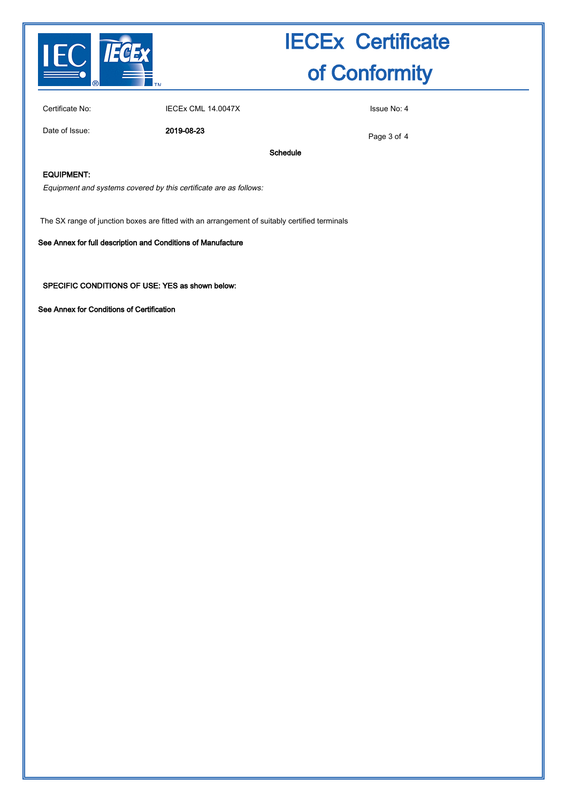

Certificate No: **IECEX CML 14.0047X** ISSUE No: 4

Date of Issue: 2019-08-23

Page 3 of 4

Schedule

## EQUIPMENT:

Equipment and systems covered by this certificate are as follows:

The SX range of junction boxes are fitted with an arrangement of suitably certified terminals

#### See Annex for full description and Conditions of Manufacture

SPECIFIC CONDITIONS OF USE: YES as shown below:

See Annex for Conditions of Certification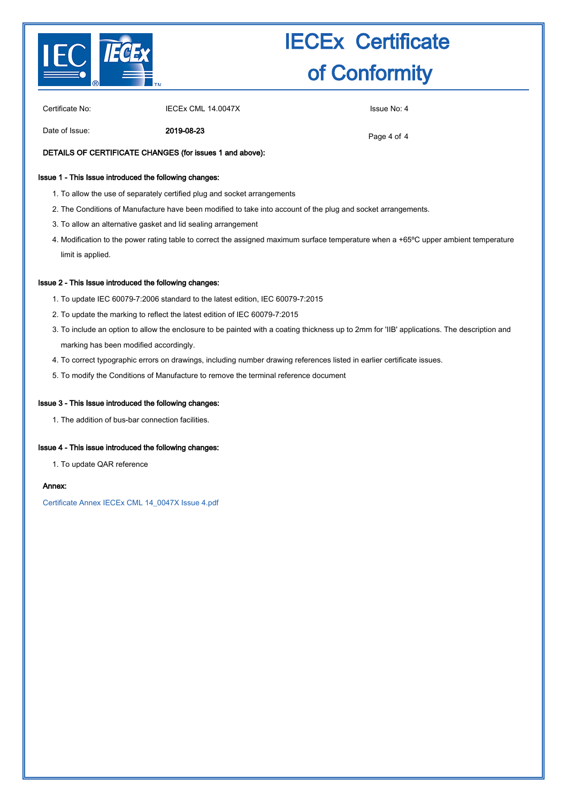

Certificate No: IECEX CML 14.0047X ISSUE No: 4

Date of Issue: 2019-08-23

Page 4 of 4

## DETAILS OF CERTIFICATE CHANGES (for issues 1 and above):

### Issue 1 - This Issue introduced the following changes:

- 1. To allow the use of separately certified plug and socket arrangements
- 2. The Conditions of Manufacture have been modified to take into account of the plug and socket arrangements.
- 3. To allow an alternative gasket and lid sealing arrangement
- 4. Modification to the power rating table to correct the assigned maximum surface temperature when a +65°C upper ambient temperature limit is applied.

#### Issue 2 - This Issue introduced the following changes:

- 1. To update IEC 60079-7:2006 standard to the latest edition, IEC 60079-7:2015
- 2. To update the marking to reflect the latest edition of IEC 60079-7:2015
- To include an option to allow the enclosure to be painted with a coating thickness up to 2mm for 'IIB' applications. The description and 3. marking has been modified accordingly.
- 4. To correct typographic errors on drawings, including number drawing references listed in earlier certificate issues.
- 5. To modify the Conditions of Manufacture to remove the terminal reference document

#### Issue 3 - This Issue introduced the following changes:

1. The addition of bus-bar connection facilities.

## Issue 4 - This issue introduced the following changes:

1. To update QAR reference

#### Annex:

[Certificate Annex IECEx CML 14\\_0047X Issue 4.pdf](http://iecex.iec.ch/cert/IECExCML14.00474/$File/Certificate Annex IECEx CML 14_0047X Issue 4.pdf)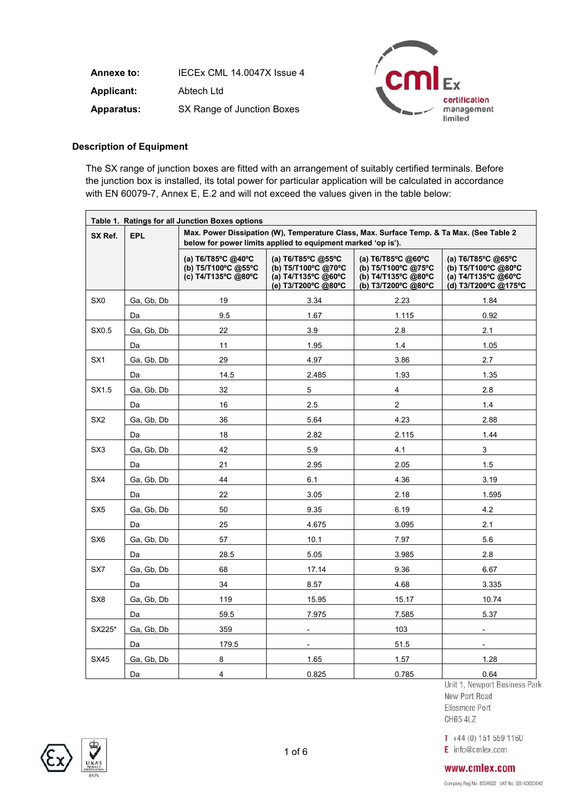**Annexe to:** IECEx CML 14.0047X Issue 4 **Applicant:** Abtech Ltd **Apparatus:** SX Range of Junction Boxes



# **Description of Equipment**

The SX range of junction boxes are fitted with an arrangement of suitably certified terminals. Before the junction box is installed, its total power for particular application will be calculated in accordance with EN 60079-7, Annex E, E.2 and will not exceed the values given in the table below:

| Table 1. Ratings for all Junction Boxes options |            |                                                                                                                                                           |                                                                                         |                                                                                         |                                                                                                   |  |  |
|-------------------------------------------------|------------|-----------------------------------------------------------------------------------------------------------------------------------------------------------|-----------------------------------------------------------------------------------------|-----------------------------------------------------------------------------------------|---------------------------------------------------------------------------------------------------|--|--|
| SX Ref.                                         | EPL        | Max. Power Dissipation (W), Temperature Class, Max. Surface Temp. & Ta Max. (See Table 2)<br>below for power limits applied to equipment marked 'op is'). |                                                                                         |                                                                                         |                                                                                                   |  |  |
|                                                 |            | (a) T6/T85°C @40°C<br>(b) T5/T100°C @55°C<br>(c) T4/T135°C @80°C                                                                                          | (a) T6/T85°C @55°C<br>(b) T5/T100°C @70°C<br>(a) T4/T135°C @60°C<br>(e) T3/T200°C @80°C | (a) T6/T85°C @60°C<br>(b) T5/T100°C @75°C<br>(b) T4/T135°C @80°C<br>(b) T3/T200°C @80°C | (a) $T6/T85^{\circ}C$ @65°C<br>(b) T5/T100°C @80°C<br>(a) T4/T135°C @60°C<br>(d) T3/T200°C @175°C |  |  |
| SX <sub>0</sub>                                 | Ga, Gb, Db | 19                                                                                                                                                        | 3.34                                                                                    | 2.23                                                                                    | 1.84                                                                                              |  |  |
|                                                 | Da         | 9.5                                                                                                                                                       | 1.67                                                                                    | 1.115                                                                                   | 0.92                                                                                              |  |  |
| SX0.5                                           | Ga, Gb, Db | 22                                                                                                                                                        | 3.9                                                                                     | 2.8                                                                                     | 2.1                                                                                               |  |  |
|                                                 | Da         | 11                                                                                                                                                        | 1.95                                                                                    | 1.4                                                                                     | 1.05                                                                                              |  |  |
| SX <sub>1</sub>                                 | Ga, Gb, Db | 29                                                                                                                                                        | 4.97                                                                                    | 3.86                                                                                    | 2.7                                                                                               |  |  |
|                                                 | Da         | 14.5                                                                                                                                                      | 2.485                                                                                   | 1.93                                                                                    | 1.35                                                                                              |  |  |
| SX1.5                                           | Ga, Gb, Db | 32                                                                                                                                                        | 5                                                                                       | $\overline{4}$                                                                          | 2.8                                                                                               |  |  |
|                                                 | Da         | 16                                                                                                                                                        | 2.5                                                                                     | $\overline{2}$                                                                          | 1.4                                                                                               |  |  |
| SX <sub>2</sub>                                 | Ga, Gb, Db | 36                                                                                                                                                        | 5.64                                                                                    | 4.23                                                                                    | 2.88                                                                                              |  |  |
|                                                 | Da         | 18                                                                                                                                                        | 2.82                                                                                    | 2.115                                                                                   | 1.44                                                                                              |  |  |
| SX <sub>3</sub>                                 | Ga, Gb, Db | 42                                                                                                                                                        | 5.9                                                                                     | 4.1                                                                                     | $\mathbf{3}$                                                                                      |  |  |
|                                                 | Da         | 21                                                                                                                                                        | 2.95                                                                                    | 2.05                                                                                    | 1.5                                                                                               |  |  |
| SX4                                             | Ga, Gb, Db | 44                                                                                                                                                        | 6.1                                                                                     | 4.36                                                                                    | 3.19                                                                                              |  |  |
|                                                 | Da         | 22                                                                                                                                                        | 3.05                                                                                    | 2.18                                                                                    | 1.595                                                                                             |  |  |
| SX <sub>5</sub>                                 | Ga, Gb, Db | 50                                                                                                                                                        | 9.35                                                                                    | 6.19                                                                                    | 4.2                                                                                               |  |  |
|                                                 | Da         | 25                                                                                                                                                        | 4.675                                                                                   | 3.095                                                                                   | 2.1                                                                                               |  |  |
| SX <sub>6</sub>                                 | Ga, Gb, Db | 57                                                                                                                                                        | 10.1                                                                                    | 7.97                                                                                    | 5.6                                                                                               |  |  |
|                                                 | Da         | 28.5                                                                                                                                                      | 5.05                                                                                    | 3.985                                                                                   | 2.8                                                                                               |  |  |
| SX7                                             | Ga, Gb, Db | 68                                                                                                                                                        | 17.14                                                                                   | 9.36                                                                                    | 6.67                                                                                              |  |  |
|                                                 | Da         | 34                                                                                                                                                        | 8.57                                                                                    | 4.68                                                                                    | 3.335                                                                                             |  |  |
| SX <sub>8</sub>                                 | Ga, Gb, Db | 119                                                                                                                                                       | 15.95                                                                                   | 15.17                                                                                   | 10.74                                                                                             |  |  |
|                                                 | Da         | 59.5                                                                                                                                                      | 7.975                                                                                   | 7.585                                                                                   | 5.37                                                                                              |  |  |
| SX225*                                          | Ga, Gb, Db | 359                                                                                                                                                       |                                                                                         | 103                                                                                     |                                                                                                   |  |  |
|                                                 | Da         | 179.5                                                                                                                                                     | $\overline{\phantom{0}}$                                                                | 51.5                                                                                    | $\blacksquare$                                                                                    |  |  |
| SX45                                            | Ga, Gb, Db | 8                                                                                                                                                         | 1.65                                                                                    | 1.57                                                                                    | 1.28                                                                                              |  |  |
|                                                 | Da         | 4                                                                                                                                                         | 0.825                                                                                   | 0.785                                                                                   | 0.64                                                                                              |  |  |

New Port Road Ellesmere Port CH65 4LZ

 $T + 44(0) 151 559 1160$ E info@cmlex.com



## www.cmlex.com

Company Reg No. 8554022 VAT No. 6B163023642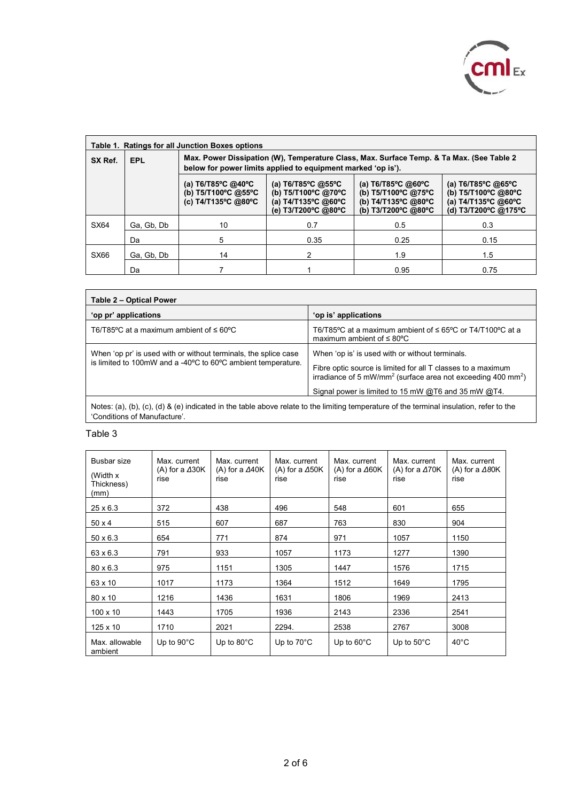

| Table 1. Ratings for all Junction Boxes options |            |                                                                                                                                                           |                                                                                                                     |                                                                                                            |                                                                                                                                |  |  |
|-------------------------------------------------|------------|-----------------------------------------------------------------------------------------------------------------------------------------------------------|---------------------------------------------------------------------------------------------------------------------|------------------------------------------------------------------------------------------------------------|--------------------------------------------------------------------------------------------------------------------------------|--|--|
| SX Ref.                                         | <b>EPL</b> | Max. Power Dissipation (W), Temperature Class, Max. Surface Temp. & Ta Max. (See Table 2)<br>below for power limits applied to equipment marked 'op is'). |                                                                                                                     |                                                                                                            |                                                                                                                                |  |  |
|                                                 |            | (a) $T6/T85^{\circ}C$ @40°C<br>(b) T5/T100°C @55°C<br>(c) T4/T135°C @80°C                                                                                 | (a) $T6/T85^{\circ}C$ @55°C<br>(b) T5/T100°C @70°C<br>(a) $T4/T135^{\circ}C$ @60 $^{\circ}C$<br>(e) T3/T200°C @80°C | (a) $T6/T85^{\circ}C$ @60 $^{\circ}C$<br>(b) T5/T100°C @75°C<br>(b) T4/T135°C @80°C<br>(b) T3/T200°C @80°C | (a) $T6/T85^{\circ}C$ @65 $^{\circ}C$<br>(b) T5/T100°C @80°C<br>(a) $T4/T135^{\circ}C$ @60 $^{\circ}C$<br>(d) T3/T200°C @175°C |  |  |
| SX64                                            | Ga, Gb, Db | 10                                                                                                                                                        | 0.7                                                                                                                 | 0.5                                                                                                        | 0.3                                                                                                                            |  |  |
|                                                 | Da         | 5                                                                                                                                                         | 0.35                                                                                                                | 0.25                                                                                                       | 0.15                                                                                                                           |  |  |
| <b>SX66</b>                                     | Ga, Gb, Db | 14                                                                                                                                                        | 2                                                                                                                   | 1.9                                                                                                        | 1.5                                                                                                                            |  |  |
|                                                 | Da         |                                                                                                                                                           |                                                                                                                     | 0.95                                                                                                       | 0.75                                                                                                                           |  |  |

| Table 2 - Optical Power                                                                                                         |                                                                                                                                                                                                                                                                |  |  |  |  |  |
|---------------------------------------------------------------------------------------------------------------------------------|----------------------------------------------------------------------------------------------------------------------------------------------------------------------------------------------------------------------------------------------------------------|--|--|--|--|--|
| 'op pr' applications                                                                                                            | 'op is' applications                                                                                                                                                                                                                                           |  |  |  |  |  |
| T6/T85°C at a maximum ambient of $\leq 60^{\circ}$ C                                                                            | T6/T85°C at a maximum ambient of $\leq$ 65°C or T4/T100°C at a<br>maximum ambient of $\leq 80^{\circ}$ C                                                                                                                                                       |  |  |  |  |  |
| When 'op pr' is used with or without terminals, the splice case<br>is limited to 100mW and a -40°C to 60°C ambient temperature. | When 'op is' is used with or without terminals.<br>Fibre optic source is limited for all T classes to a maximum<br>irradiance of 5 mW/mm <sup>2</sup> (surface area not exceeding 400 mm <sup>2</sup> )<br>Signal power is limited to 15 mW @T6 and 35 mW @T4. |  |  |  |  |  |

Notes: (a), (b), (c), (d) & (e) indicated in the table above relate to the limiting temperature of the terminal insulation, refer to the 'Conditions of Manufacture'.

# Table 3

| Busbar size<br>(Width x)<br>Thickness)<br>(mm) | Max. current<br>(A) for a $\Delta 30K$<br>rise | Max. current<br>(A) for a $\Delta 40K$<br>rise | Max. current<br>(A) for a $\Delta$ 50K<br>rise | Max. current<br>(A) for a $\Delta 60K$<br>rise | Max. current<br>(A) for a $\Delta$ 70K<br>rise | Max. current<br>(A) for a $\Delta 80K$<br>rise |
|------------------------------------------------|------------------------------------------------|------------------------------------------------|------------------------------------------------|------------------------------------------------|------------------------------------------------|------------------------------------------------|
| $25 \times 6.3$                                | 372                                            | 438                                            | 496                                            | 548                                            | 601                                            | 655                                            |
| $50 \times 4$                                  | 515                                            | 607                                            | 687                                            | 763                                            | 830                                            | 904                                            |
| $50 \times 6.3$                                | 654                                            | 771                                            | 874                                            | 971                                            | 1057                                           | 1150                                           |
| 63 x 6.3                                       | 791                                            | 933                                            | 1057                                           | 1173                                           | 1277                                           | 1390                                           |
| $80 \times 6.3$                                | 975                                            | 1151                                           | 1305                                           | 1447                                           | 1576                                           | 1715                                           |
| 63 x 10                                        | 1017                                           | 1173                                           | 1364                                           | 1512                                           | 1649                                           | 1795                                           |
| $80 \times 10$                                 | 1216                                           | 1436                                           | 1631                                           | 1806                                           | 1969                                           | 2413                                           |
| $100 \times 10$                                | 1443                                           | 1705                                           | 1936                                           | 2143                                           | 2336                                           | 2541                                           |
| $125 \times 10$                                | 1710                                           | 2021                                           | 2294.                                          | 2538                                           | 2767                                           | 3008                                           |
| Max. allowable<br>ambient                      | Up to $90^{\circ}$ C                           | Up to $80^{\circ}$ C                           | Up to $70^{\circ}$ C                           | Up to $60^{\circ}$ C                           | Up to $50^{\circ}$ C                           | $40^{\circ}$ C                                 |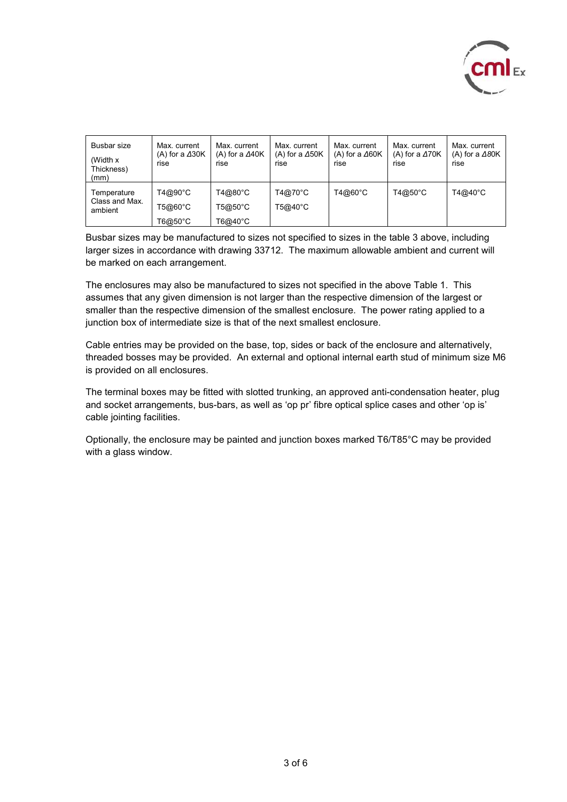

| Busbar size<br>(Width x)<br>Thickness)<br>(mm) | Max. current<br>(A) for a $\triangle$ 30K<br>rise | Max. current<br>(A) for a $\Delta$ 40K<br>rise | Max. current<br>(A) for a $\Delta$ 50K<br>rise | Max. current<br>(A) for a $\Delta$ 60K<br>rise | Max. current<br>(A) for a $\Delta$ 70K<br>rise | Max. current<br>(A) for a $\Delta$ 80K<br>rise |
|------------------------------------------------|---------------------------------------------------|------------------------------------------------|------------------------------------------------|------------------------------------------------|------------------------------------------------|------------------------------------------------|
| Temperature<br>Class and Max.<br>ambient       | T4@90°C<br>T5@60°C                                | T4@80°C<br>T5@50°C                             | T4@70°C<br>T5@40°C                             | T4@60°C                                        | T4@50°C                                        | T4@40°C                                        |
|                                                | T6@50°C                                           | T6@40°C                                        |                                                |                                                |                                                |                                                |

Busbar sizes may be manufactured to sizes not specified to sizes in the table 3 above, including larger sizes in accordance with drawing 33712. The maximum allowable ambient and current will be marked on each arrangement.

The enclosures may also be manufactured to sizes not specified in the above Table 1. This assumes that any given dimension is not larger than the respective dimension of the largest or smaller than the respective dimension of the smallest enclosure. The power rating applied to a junction box of intermediate size is that of the next smallest enclosure.

Cable entries may be provided on the base, top, sides or back of the enclosure and alternatively, threaded bosses may be provided. An external and optional internal earth stud of minimum size M6 is provided on all enclosures.

The terminal boxes may be fitted with slotted trunking, an approved anti-condensation heater, plug and socket arrangements, bus-bars, as well as 'op pr' fibre optical splice cases and other 'op is' cable jointing facilities.

Optionally, the enclosure may be painted and junction boxes marked T6/T85°C may be provided with a glass window.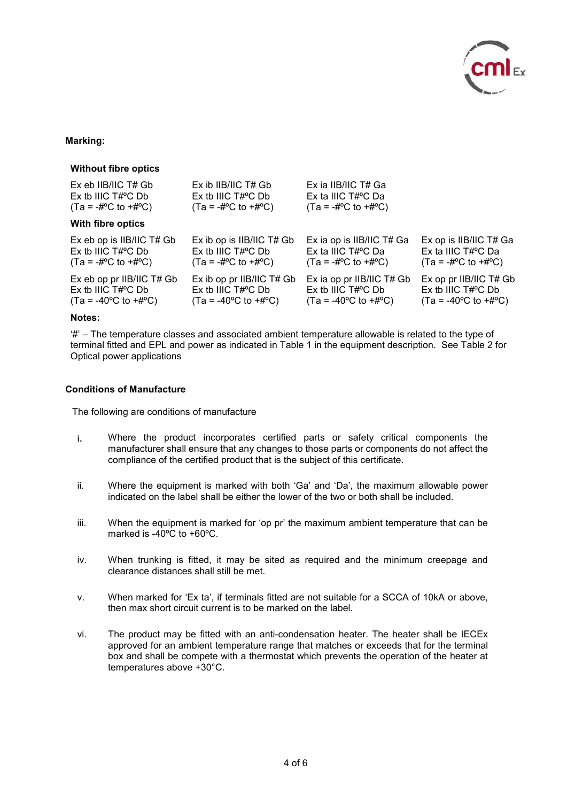

## **Marking:**

#### **Without fibre optics**

| Ex eb IIB/IIC T# Gb                            | $Ex$ ib IIB/IIC T# Gb                          | Ex ia IIB/IIC T# Ga                            |                                                |
|------------------------------------------------|------------------------------------------------|------------------------------------------------|------------------------------------------------|
| $Ex$ tb IIIC $T#^{\circ}C$ Db                  | $Ex$ tb IIIC $T#^{\circ}C$ Db                  | Ex ta IIIC T#°C Da                             |                                                |
| $(Ta = -\#^oC$ to $+\#^oC$                     | $(Ta = -\#^oC$ to $+\#^oC$                     | $(Ta = -\#^{\circ}C$ to $+\#^{\circ}C$         |                                                |
| With fibre optics                              |                                                |                                                |                                                |
| Ex eb op is IIB/IIC T# Gb                      | Ex ib op is IIB/IIC T# Gb                      | Ex ia op is IIB/IIC T# Ga                      | Ex op is IIB/IIC T# Ga                         |
| $Ex$ tb IIIC $T#^{\circ}C$ Db                  | $Ex$ tb IIIC $T#^{\circ}C$ Db                  | Ex ta IIIC $T#^{\circ}C$ Da                    | Ex ta IIIC $T\#^{\circ}C$ Da                   |
| $(Ta = -\#^oC$ to $+\#^oC$                     | $(Ta = -\#^{\circ}C \text{ to } +\#^{\circ}C)$ | $(Ta = -\#^oC$ to $+\#^oC$                     | $(Ta = -\#^oC$ to $+\#^oC$                     |
| Ex eb op pr IIB/IIC T# Gb                      | Ex ib op pr IIB/IIC T# Gb                      | Ex ia op pr IIB/IIC T# Gb                      | Ex op pr IIB/IIC T# Gb                         |
| $Ex$ tb IIIC $T#^{\circ}C$ Db                  | $Ex$ tb IIIC $T\#^{\circ}C$ Db                 | Ex tb IIIC $T#^{\circ}C$ Db                    | $Ex$ tb IIIC $T#^{\circ}C$ Db                  |
| $(Ta = -40^{\circ}C \text{ to } +\#^{\circ}C)$ | $(Ta = -40^{\circ}C \text{ to } +\#^{\circ}C)$ | $(Ta = -40^{\circ}C \text{ to } +\#^{\circ}C)$ | $(Ta = -40^{\circ}C \text{ to } +\#^{\circ}C)$ |

## **Notes:**

'#' – The temperature classes and associated ambient temperature allowable is related to the type of terminal fitted and EPL and power as indicated in Table 1 in the equipment description. See Table 2 for Optical power applications

#### **Conditions of Manufacture**

The following are conditions of manufacture

- i. Where the product incorporates certified parts or safety critical components the manufacturer shall ensure that any changes to those parts or components do not affect the compliance of the certified product that is the subject of this certificate.
- ii. Where the equipment is marked with both 'Ga' and 'Da', the maximum allowable power indicated on the label shall be either the lower of the two or both shall be included.
- iii. When the equipment is marked for 'op pr' the maximum ambient temperature that can be marked is -40ºC to +60ºC.
- iv. When trunking is fitted, it may be sited as required and the minimum creepage and clearance distances shall still be met.
- v. When marked for 'Ex ta', if terminals fitted are not suitable for a SCCA of 10kA or above, then max short circuit current is to be marked on the label.
- vi. The product may be fitted with an anti-condensation heater. The heater shall be IECEx approved for an ambient temperature range that matches or exceeds that for the terminal box and shall be compete with a thermostat which prevents the operation of the heater at temperatures above +30°C.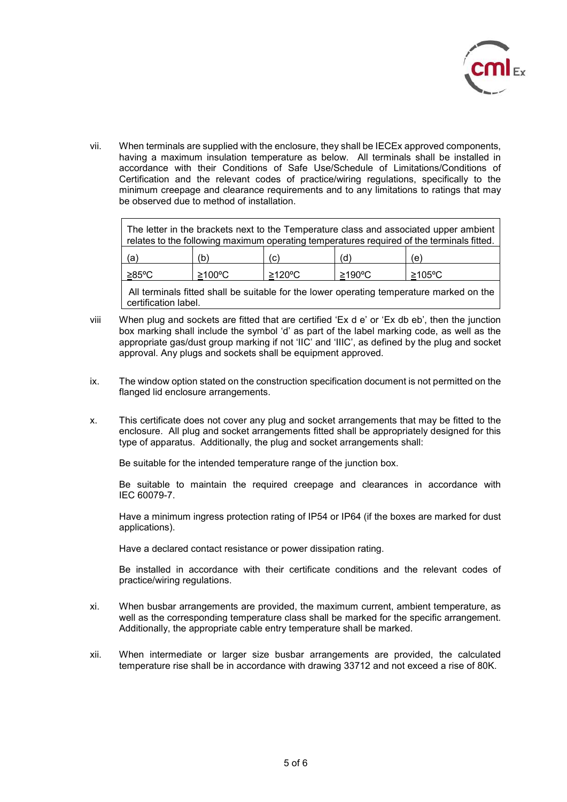

vii. When terminals are supplied with the enclosure, they shall be IECEx approved components, having a maximum insulation temperature as below. All terminals shall be installed in accordance with their Conditions of Safe Use/Schedule of Limitations/Conditions of Certification and the relevant codes of practice/wiring regulations, specifically to the minimum creepage and clearance requirements and to any limitations to ratings that may be observed due to method of installation.

| The letter in the brackets next to the Temperature class and associated upper ambient<br>relates to the following maximum operating temperatures required of the terminals fitted. |     |     |     |     |  |
|------------------------------------------------------------------------------------------------------------------------------------------------------------------------------------|-----|-----|-----|-----|--|
| (a                                                                                                                                                                                 | (b) | (c) | (d) | (e) |  |

All terminals fitted shall be suitable for the lower operating temperature marked on the certification label.

viii When plug and sockets are fitted that are certified 'Ex d e' or 'Ex db eb', then the junction box marking shall include the symbol 'd' as part of the label marking code, as well as the appropriate gas/dust group marking if not 'IIC' and 'IIIC', as defined by the plug and socket approval. Any plugs and sockets shall be equipment approved.

≥85ºC ≥100ºC ≥120ºC ≥190ºC ≥105ºC

- ix. The window option stated on the construction specification document is not permitted on the flanged lid enclosure arrangements.
- x. This certificate does not cover any plug and socket arrangements that may be fitted to the enclosure. All plug and socket arrangements fitted shall be appropriately designed for this type of apparatus. Additionally, the plug and socket arrangements shall:

Be suitable for the intended temperature range of the junction box.

Be suitable to maintain the required creepage and clearances in accordance with IEC 60079-7.

Have a minimum ingress protection rating of IP54 or IP64 (if the boxes are marked for dust applications).

Have a declared contact resistance or power dissipation rating.

Be installed in accordance with their certificate conditions and the relevant codes of practice/wiring regulations.

- xi. When busbar arrangements are provided, the maximum current, ambient temperature, as well as the corresponding temperature class shall be marked for the specific arrangement. Additionally, the appropriate cable entry temperature shall be marked.
- xii. When intermediate or larger size busbar arrangements are provided, the calculated temperature rise shall be in accordance with drawing 33712 and not exceed a rise of 80K.